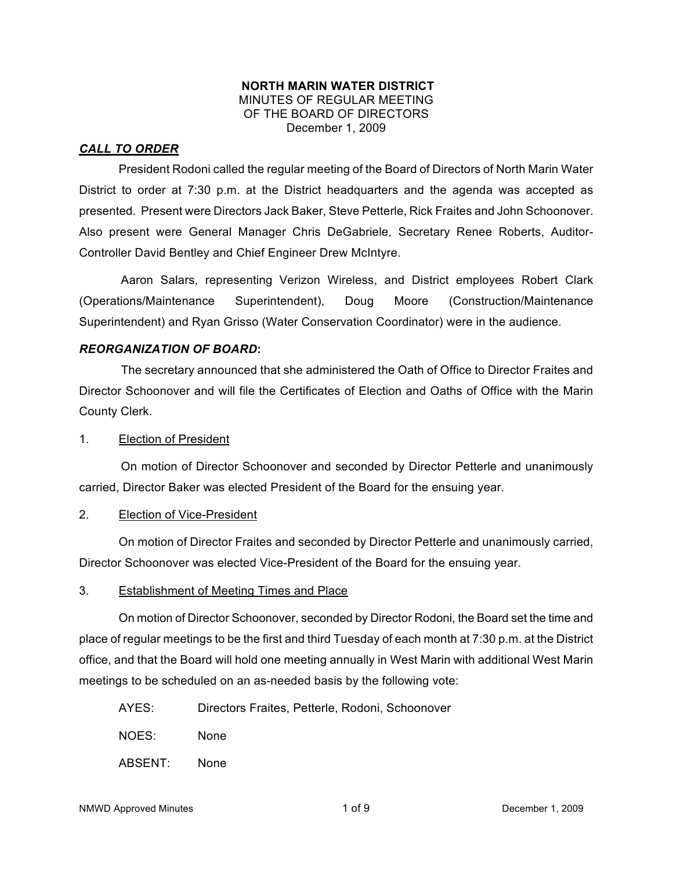#### **NORTH MARIN WATER DISTRICT** MINUTES OF REGULAR MEETING OF THE BOARD OF DIRECTORS December 1, 2009

## *CALL TO ORDER*

President Rodoni called the regular meeting of the Board of Directors of North Marin Water District to order at 7:30 p.m. at the District headquarters and the agenda was accepted as presented. Present were Directors Jack Baker, Steve Petterle, Rick Fraites and John Schoonover. Also present were General Manager Chris DeGabriele, Secretary Renee Roberts, Auditor-Controller David Bentley and Chief Engineer Drew McIntyre.

Aaron Salars, representing Verizon Wireless, and District employees Robert Clark (Operations/Maintenance Superintendent), Doug Moore (Construction/Maintenance Superintendent) and Ryan Grisso (Water Conservation Coordinator) were in the audience.

#### *REORGANIZATION OF BOARD***:**

The secretary announced that she administered the Oath of Office to Director Fraites and Director Schoonover and will file the Certificates of Election and Oaths of Office with the Marin County Clerk.

#### 1. Election of President

On motion of Director Schoonover and seconded by Director Petterle and unanimously carried, Director Baker was elected President of the Board for the ensuing year.

#### 2. Election of Vice-President

On motion of Director Fraites and seconded by Director Petterle and unanimously carried, Director Schoonover was elected Vice-President of the Board for the ensuing year.

#### 3. Establishment of Meeting Times and Place

On motion of Director Schoonover, seconded by Director Rodoni, the Board set the time and place of regular meetings to be the first and third Tuesday of each month at 7:30 p.m. at the District office, and that the Board will hold one meeting annually in West Marin with additional West Marin meetings to be scheduled on an as-needed basis by the following vote:

- AYES: Directors Fraites, Petterle, Rodoni, Schoonover
- NOES: None
- ABSENT: None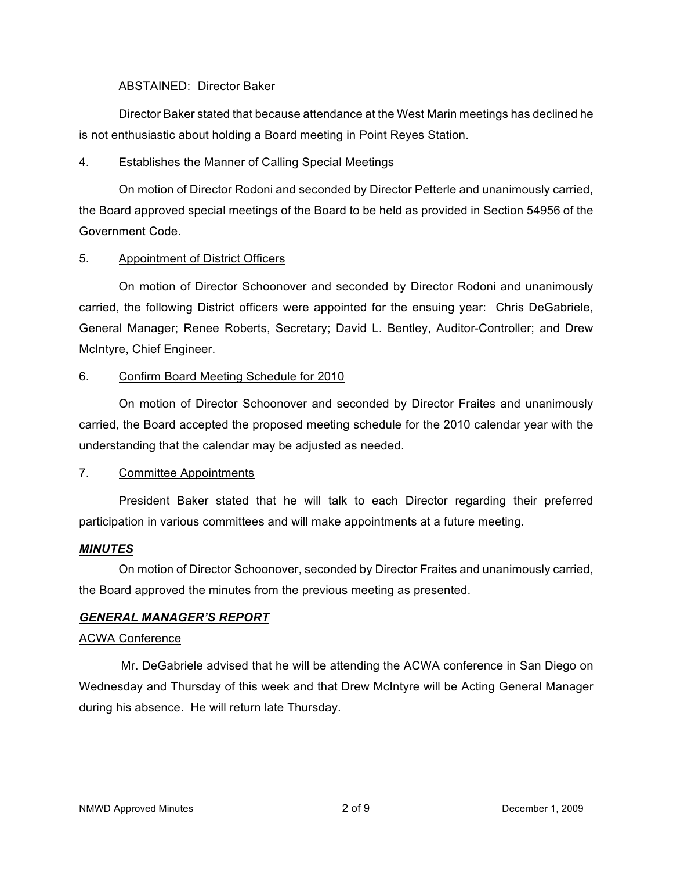#### ABSTAINED: Director Baker

Director Baker stated that because attendance at the West Marin meetings has declined he is not enthusiastic about holding a Board meeting in Point Reyes Station.

## 4. Establishes the Manner of Calling Special Meetings

On motion of Director Rodoni and seconded by Director Petterle and unanimously carried, the Board approved special meetings of the Board to be held as provided in Section 54956 of the Government Code.

## 5. Appointment of District Officers

On motion of Director Schoonover and seconded by Director Rodoni and unanimously carried, the following District officers were appointed for the ensuing year: Chris DeGabriele, General Manager; Renee Roberts, Secretary; David L. Bentley, Auditor-Controller; and Drew McIntyre, Chief Engineer.

## 6. Confirm Board Meeting Schedule for 2010

On motion of Director Schoonover and seconded by Director Fraites and unanimously carried, the Board accepted the proposed meeting schedule for the 2010 calendar year with the understanding that the calendar may be adjusted as needed.

## 7. Committee Appointments

President Baker stated that he will talk to each Director regarding their preferred participation in various committees and will make appointments at a future meeting.

# *MINUTES*

On motion of Director Schoonover, seconded by Director Fraites and unanimously carried, the Board approved the minutes from the previous meeting as presented.

## *GENERAL MANAGER'S REPORT*

## ACWA Conference

Mr. DeGabriele advised that he will be attending the ACWA conference in San Diego on Wednesday and Thursday of this week and that Drew McIntyre will be Acting General Manager during his absence. He will return late Thursday.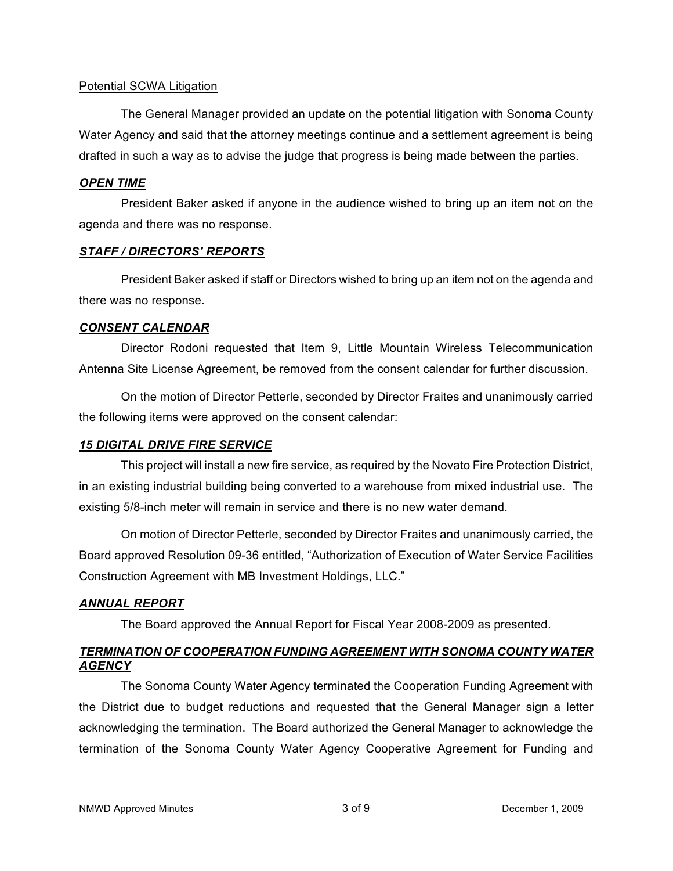#### Potential SCWA Litigation

The General Manager provided an update on the potential litigation with Sonoma County Water Agency and said that the attorney meetings continue and a settlement agreement is being drafted in such a way as to advise the judge that progress is being made between the parties.

#### *OPEN TIME*

President Baker asked if anyone in the audience wished to bring up an item not on the agenda and there was no response.

#### *STAFF / DIRECTORS' REPORTS*

President Baker asked if staff or Directors wished to bring up an item not on the agenda and there was no response.

#### *CONSENT CALENDAR*

Director Rodoni requested that Item 9, Little Mountain Wireless Telecommunication Antenna Site License Agreement, be removed from the consent calendar for further discussion.

On the motion of Director Petterle, seconded by Director Fraites and unanimously carried the following items were approved on the consent calendar:

## *15 DIGITAL DRIVE FIRE SERVICE*

This project will install a new fire service, as required by the Novato Fire Protection District, in an existing industrial building being converted to a warehouse from mixed industrial use. The existing 5/8-inch meter will remain in service and there is no new water demand.

On motion of Director Petterle, seconded by Director Fraites and unanimously carried, the Board approved Resolution 09-36 entitled, "Authorization of Execution of Water Service Facilities Construction Agreement with MB Investment Holdings, LLC."

## *ANNUAL REPORT*

The Board approved the Annual Report for Fiscal Year 2008-2009 as presented.

# *TERMINATION OF COOPERATION FUNDING AGREEMENT WITH SONOMA COUNTY WATER AGENCY*

The Sonoma County Water Agency terminated the Cooperation Funding Agreement with the District due to budget reductions and requested that the General Manager sign a letter acknowledging the termination. The Board authorized the General Manager to acknowledge the termination of the Sonoma County Water Agency Cooperative Agreement for Funding and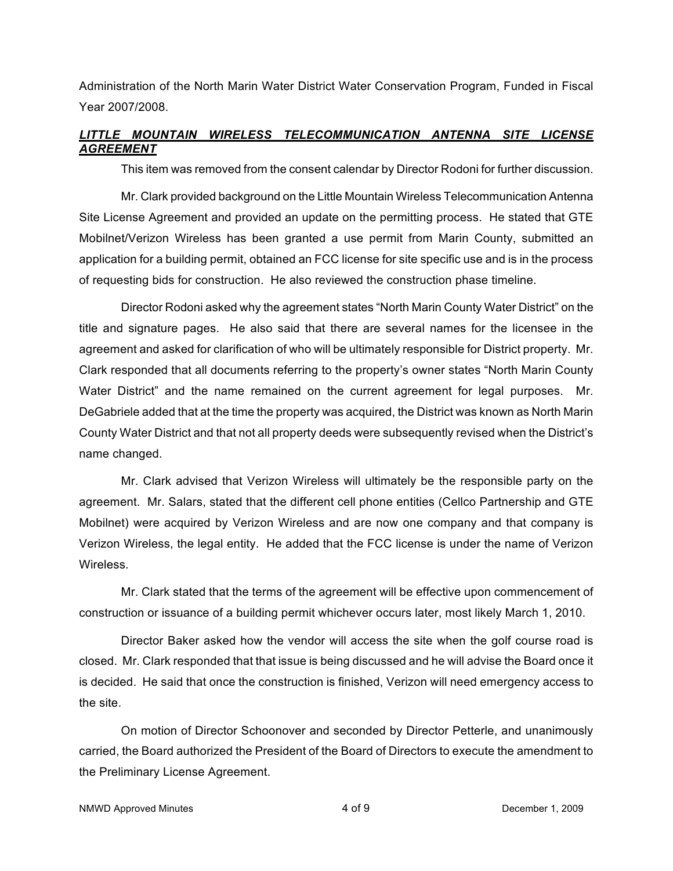Administration of the North Marin Water District Water Conservation Program, Funded in Fiscal Year 2007/2008.

# *LITTLE MOUNTAIN WIRELESS TELECOMMUNICATION ANTENNA SITE LICENSE AGREEMENT*

This item was removed from the consent calendar by Director Rodoni for further discussion.

Mr. Clark provided background on the Little Mountain Wireless Telecommunication Antenna Site License Agreement and provided an update on the permitting process. He stated that GTE Mobilnet/Verizon Wireless has been granted a use permit from Marin County, submitted an application for a building permit, obtained an FCC license for site specific use and is in the process of requesting bids for construction. He also reviewed the construction phase timeline.

Director Rodoni asked why the agreement states "North Marin County Water District" on the title and signature pages. He also said that there are several names for the licensee in the agreement and asked for clarification of who will be ultimately responsible for District property. Mr. Clark responded that all documents referring to the property's owner states "North Marin County Water District" and the name remained on the current agreement for legal purposes. Mr. DeGabriele added that at the time the property was acquired, the District was known as North Marin County Water District and that not all property deeds were subsequently revised when the District's name changed.

Mr. Clark advised that Verizon Wireless will ultimately be the responsible party on the agreement. Mr. Salars, stated that the different cell phone entities (Cellco Partnership and GTE Mobilnet) were acquired by Verizon Wireless and are now one company and that company is Verizon Wireless, the legal entity. He added that the FCC license is under the name of Verizon Wireless.

Mr. Clark stated that the terms of the agreement will be effective upon commencement of construction or issuance of a building permit whichever occurs later, most likely March 1, 2010.

Director Baker asked how the vendor will access the site when the golf course road is closed. Mr. Clark responded that that issue is being discussed and he will advise the Board once it is decided. He said that once the construction is finished, Verizon will need emergency access to the site.

On motion of Director Schoonover and seconded by Director Petterle, and unanimously carried, the Board authorized the President of the Board of Directors to execute the amendment to the Preliminary License Agreement.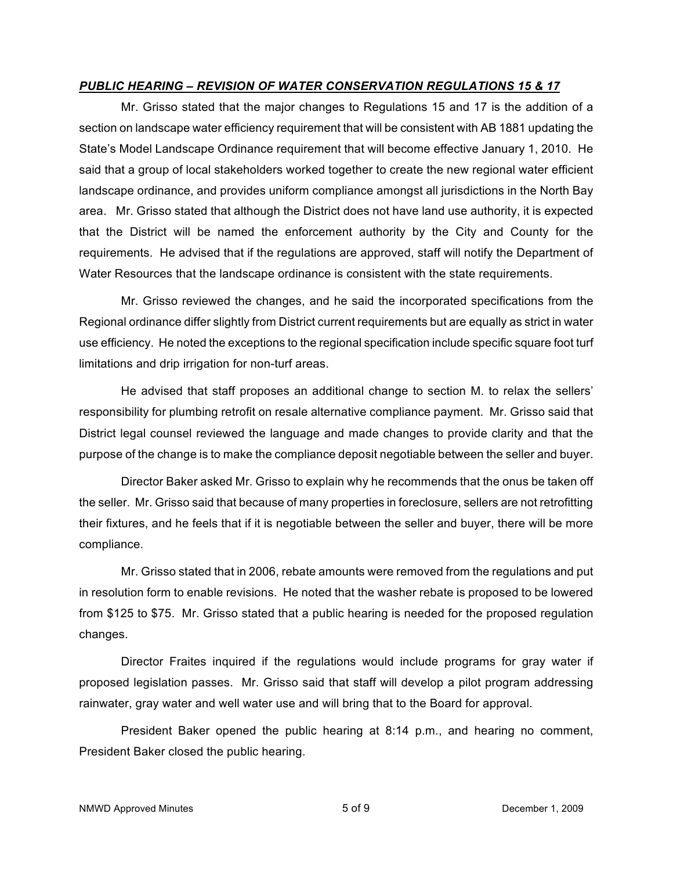#### *PUBLIC HEARING – REVISION OF WATER CONSERVATION REGULATIONS 15 & 17*

Mr. Grisso stated that the major changes to Regulations 15 and 17 is the addition of a section on landscape water efficiency requirement that will be consistent with AB 1881 updating the State's Model Landscape Ordinance requirement that will become effective January 1, 2010. He said that a group of local stakeholders worked together to create the new regional water efficient landscape ordinance, and provides uniform compliance amongst all jurisdictions in the North Bay area. Mr. Grisso stated that although the District does not have land use authority, it is expected that the District will be named the enforcement authority by the City and County for the requirements. He advised that if the regulations are approved, staff will notify the Department of Water Resources that the landscape ordinance is consistent with the state requirements.

Mr. Grisso reviewed the changes, and he said the incorporated specifications from the Regional ordinance differ slightly from District current requirements but are equally as strict in water use efficiency. He noted the exceptions to the regional specification include specific square foot turf limitations and drip irrigation for non-turf areas.

He advised that staff proposes an additional change to section M. to relax the sellers' responsibility for plumbing retrofit on resale alternative compliance payment. Mr. Grisso said that District legal counsel reviewed the language and made changes to provide clarity and that the purpose of the change is to make the compliance deposit negotiable between the seller and buyer.

Director Baker asked Mr. Grisso to explain why he recommends that the onus be taken off the seller. Mr. Grisso said that because of many properties in foreclosure, sellers are not retrofitting their fixtures, and he feels that if it is negotiable between the seller and buyer, there will be more compliance.

Mr. Grisso stated that in 2006, rebate amounts were removed from the regulations and put in resolution form to enable revisions. He noted that the washer rebate is proposed to be lowered from \$125 to \$75. Mr. Grisso stated that a public hearing is needed for the proposed regulation changes.

Director Fraites inquired if the regulations would include programs for gray water if proposed legislation passes. Mr. Grisso said that staff will develop a pilot program addressing rainwater, gray water and well water use and will bring that to the Board for approval.

President Baker opened the public hearing at 8:14 p.m., and hearing no comment, President Baker closed the public hearing.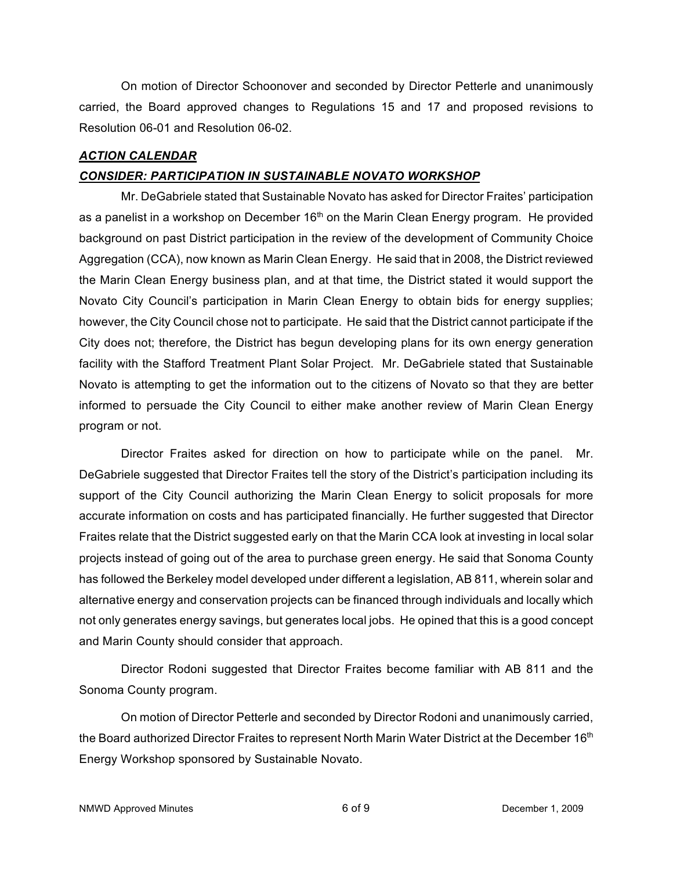On motion of Director Schoonover and seconded by Director Petterle and unanimously carried, the Board approved changes to Regulations 15 and 17 and proposed revisions to Resolution 06-01 and Resolution 06-02.

## *ACTION CALENDAR*

### *CONSIDER: PARTICIPATION IN SUSTAINABLE NOVATO WORKSHOP*

Mr. DeGabriele stated that Sustainable Novato has asked for Director Fraites' participation as a panelist in a workshop on December  $16<sup>th</sup>$  on the Marin Clean Energy program. He provided background on past District participation in the review of the development of Community Choice Aggregation (CCA), now known as Marin Clean Energy. He said that in 2008, the District reviewed the Marin Clean Energy business plan, and at that time, the District stated it would support the Novato City Council's participation in Marin Clean Energy to obtain bids for energy supplies; however, the City Council chose not to participate. He said that the District cannot participate if the City does not; therefore, the District has begun developing plans for its own energy generation facility with the Stafford Treatment Plant Solar Project. Mr. DeGabriele stated that Sustainable Novato is attempting to get the information out to the citizens of Novato so that they are better informed to persuade the City Council to either make another review of Marin Clean Energy program or not.

Director Fraites asked for direction on how to participate while on the panel. Mr. DeGabriele suggested that Director Fraites tell the story of the District's participation including its support of the City Council authorizing the Marin Clean Energy to solicit proposals for more accurate information on costs and has participated financially. He further suggested that Director Fraites relate that the District suggested early on that the Marin CCA look at investing in local solar projects instead of going out of the area to purchase green energy. He said that Sonoma County has followed the Berkeley model developed under different a legislation, AB 811, wherein solar and alternative energy and conservation projects can be financed through individuals and locally which not only generates energy savings, but generates local jobs. He opined that this is a good concept and Marin County should consider that approach.

Director Rodoni suggested that Director Fraites become familiar with AB 811 and the Sonoma County program.

On motion of Director Petterle and seconded by Director Rodoni and unanimously carried, the Board authorized Director Fraites to represent North Marin Water District at the December 16<sup>th</sup> Energy Workshop sponsored by Sustainable Novato.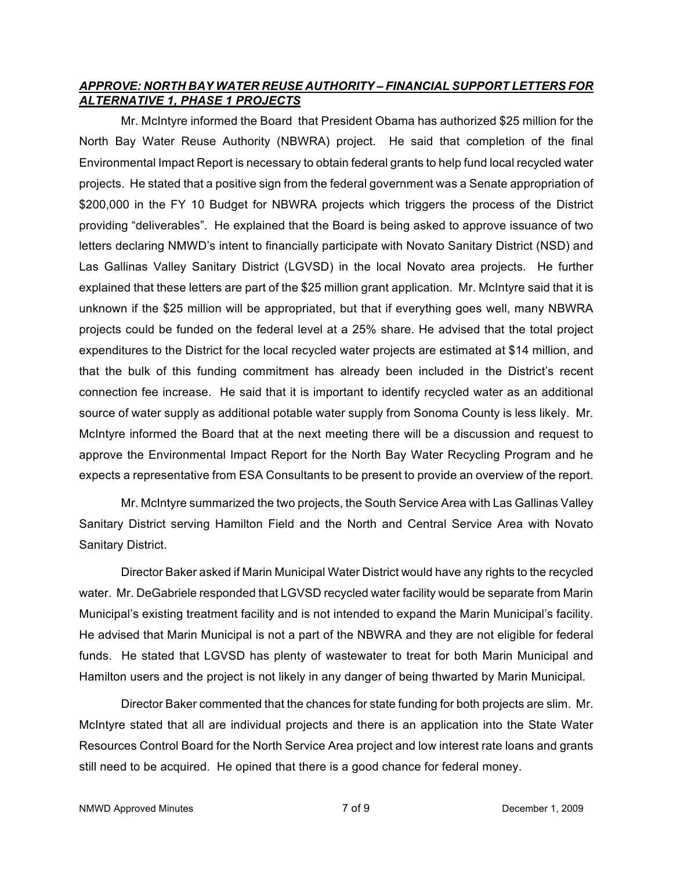## *APPROVE: NORTH BAY WATER REUSE AUTHORITY – FINANCIAL SUPPORT LETTERS FOR ALTERNATIVE 1, PHASE 1 PROJECTS*

Mr. McIntyre informed the Board that President Obama has authorized \$25 million for the North Bay Water Reuse Authority (NBWRA) project. He said that completion of the final Environmental Impact Report is necessary to obtain federal grants to help fund local recycled water projects. He stated that a positive sign from the federal government was a Senate appropriation of \$200,000 in the FY 10 Budget for NBWRA projects which triggers the process of the District providing "deliverables". He explained that the Board is being asked to approve issuance of two letters declaring NMWD's intent to financially participate with Novato Sanitary District (NSD) and Las Gallinas Valley Sanitary District (LGVSD) in the local Novato area projects. He further explained that these letters are part of the \$25 million grant application. Mr. McIntyre said that it is unknown if the \$25 million will be appropriated, but that if everything goes well, many NBWRA projects could be funded on the federal level at a 25% share. He advised that the total project expenditures to the District for the local recycled water projects are estimated at \$14 million, and that the bulk of this funding commitment has already been included in the District's recent connection fee increase. He said that it is important to identify recycled water as an additional source of water supply as additional potable water supply from Sonoma County is less likely. Mr. McIntyre informed the Board that at the next meeting there will be a discussion and request to approve the Environmental Impact Report for the North Bay Water Recycling Program and he expects a representative from ESA Consultants to be present to provide an overview of the report.

Mr. McIntyre summarized the two projects, the South Service Area with Las Gallinas Valley Sanitary District serving Hamilton Field and the North and Central Service Area with Novato Sanitary District.

Director Baker asked if Marin Municipal Water District would have any rights to the recycled water. Mr. DeGabriele responded that LGVSD recycled water facility would be separate from Marin Municipal's existing treatment facility and is not intended to expand the Marin Municipal's facility. He advised that Marin Municipal is not a part of the NBWRA and they are not eligible for federal funds. He stated that LGVSD has plenty of wastewater to treat for both Marin Municipal and Hamilton users and the project is not likely in any danger of being thwarted by Marin Municipal.

Director Baker commented that the chances for state funding for both projects are slim. Mr. McIntyre stated that all are individual projects and there is an application into the State Water Resources Control Board for the North Service Area project and low interest rate loans and grants still need to be acquired. He opined that there is a good chance for federal money.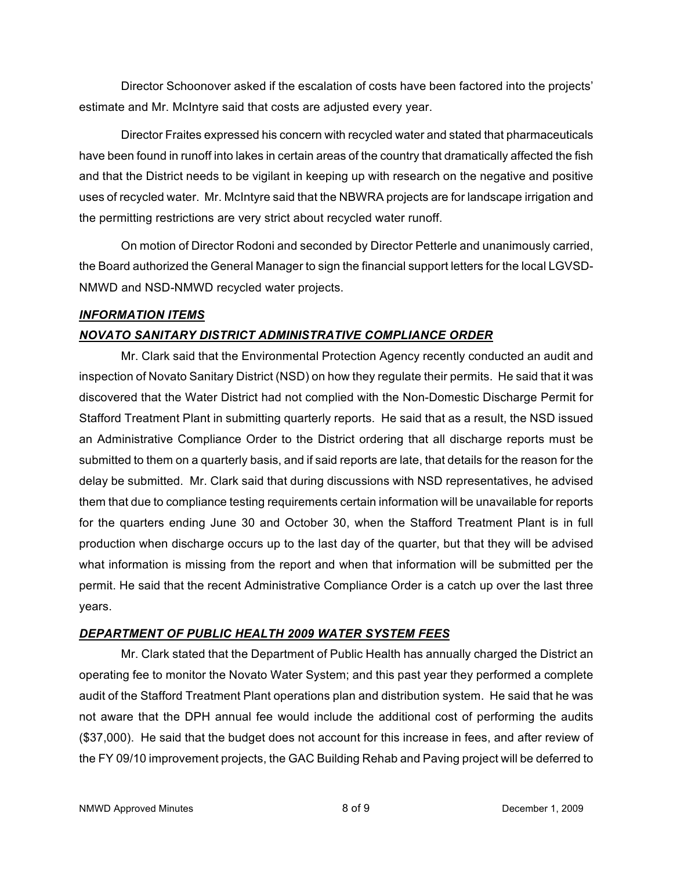Director Schoonover asked if the escalation of costs have been factored into the projects' estimate and Mr. McIntyre said that costs are adjusted every year.

Director Fraites expressed his concern with recycled water and stated that pharmaceuticals have been found in runoff into lakes in certain areas of the country that dramatically affected the fish and that the District needs to be vigilant in keeping up with research on the negative and positive uses of recycled water. Mr. McIntyre said that the NBWRA projects are for landscape irrigation and the permitting restrictions are very strict about recycled water runoff.

On motion of Director Rodoni and seconded by Director Petterle and unanimously carried, the Board authorized the General Manager to sign the financial support letters for the local LGVSD-NMWD and NSD-NMWD recycled water projects.

## *INFORMATION ITEMS*

# *NOVATO SANITARY DISTRICT ADMINISTRATIVE COMPLIANCE ORDER*

Mr. Clark said that the Environmental Protection Agency recently conducted an audit and inspection of Novato Sanitary District (NSD) on how they regulate their permits. He said that it was discovered that the Water District had not complied with the Non-Domestic Discharge Permit for Stafford Treatment Plant in submitting quarterly reports. He said that as a result, the NSD issued an Administrative Compliance Order to the District ordering that all discharge reports must be submitted to them on a quarterly basis, and if said reports are late, that details for the reason for the delay be submitted. Mr. Clark said that during discussions with NSD representatives, he advised them that due to compliance testing requirements certain information will be unavailable for reports for the quarters ending June 30 and October 30, when the Stafford Treatment Plant is in full production when discharge occurs up to the last day of the quarter, but that they will be advised what information is missing from the report and when that information will be submitted per the permit. He said that the recent Administrative Compliance Order is a catch up over the last three years.

## *DEPARTMENT OF PUBLIC HEALTH 2009 WATER SYSTEM FEES*

Mr. Clark stated that the Department of Public Health has annually charged the District an operating fee to monitor the Novato Water System; and this past year they performed a complete audit of the Stafford Treatment Plant operations plan and distribution system. He said that he was not aware that the DPH annual fee would include the additional cost of performing the audits (\$37,000). He said that the budget does not account for this increase in fees, and after review of the FY 09/10 improvement projects, the GAC Building Rehab and Paving project will be deferred to